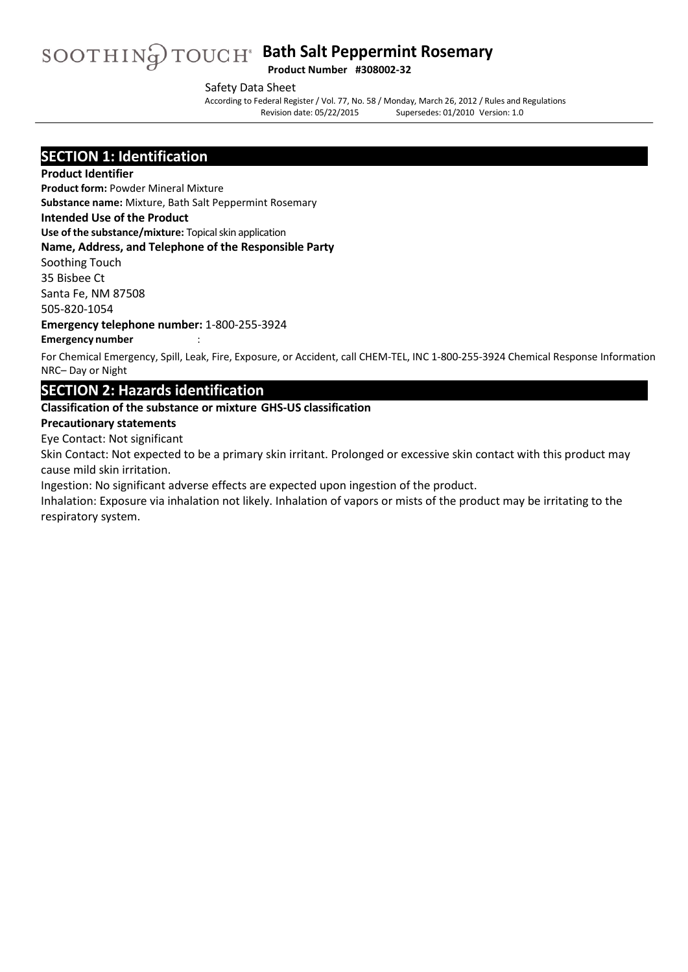# **Bath Salt Peppermint Rosemary** Product Number #308002-32

Safety Data Sheet

According to Federal Register/ Vol. 77, No. 58 / Monday, March 26, 2012 / Rules and Regulations Supersedes: 01/2010 Version: 1.0

### **SECTION 1: Identification**

#### **Product Identifier**

**Product form:** Powder Mineral Mixture

**Substance name:** Mixture, Bath Salt Peppermint Rosemary

#### **Intended Use of the Product**

**Use of the substance/mixture:** Topical skin application

#### **Name, Address, and Telephone of the Responsible Party**

Soothing Touch

35 Bisbee Ct Santa Fe, NM 87508

505-820-1054

**Emergency telephone number:** 1-800-255-3924

#### **Emergency number** :

For Chemical Emergency, Spill, Leak, Fire, Exposure, or Accident, call CHEM-TEL, INC 1-800-255-3924 Chemical Response Information NRC– Day or Night

### **SECTION 2: Hazards identification**

#### **Classification of the substance or mixture GHS-US classification**

#### **Precautionary statements**

Eye Contact: Not significant

Skin Contact: Not expected to be a primary skin irritant. Prolonged or excessive skin contact with this product may cause mild skin irritation.

Ingestion: No significant adverse effects are expected upon ingestion of the product.

Inhalation: Exposure via inhalation not likely. Inhalation of vapors or mists of the product may be irritating to the respiratory system.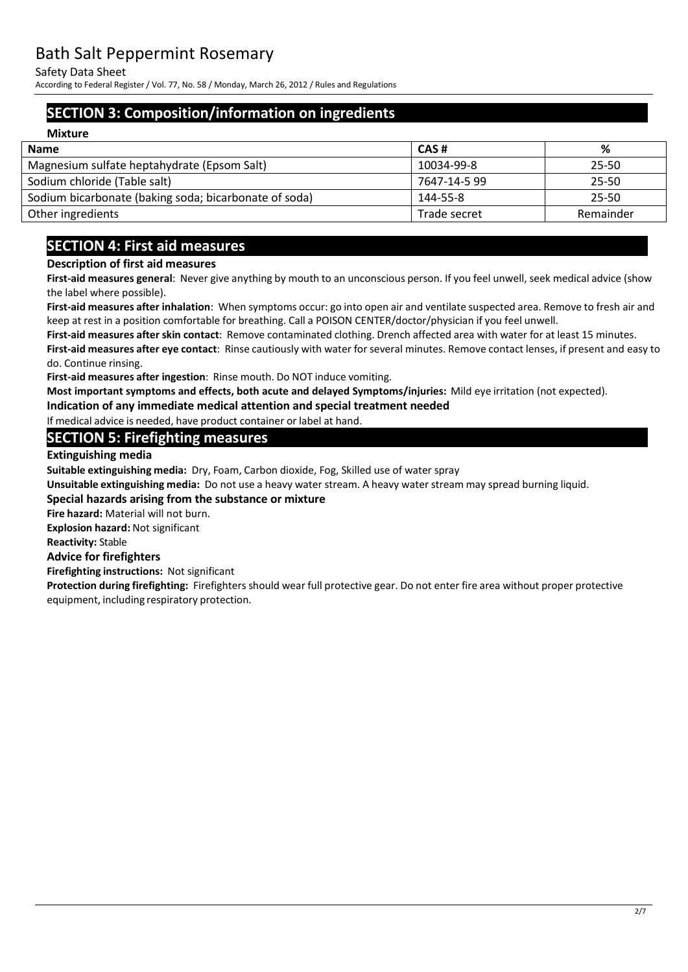Safety Data Sheet

According to Federal Register/ Vol. 77, No. 58 / Monday, March 26, 2012 / Rules and Regulations

# **SECTION 3: Composition/information on ingredients**

| <b>Mixture</b>                                        |              |           |
|-------------------------------------------------------|--------------|-----------|
| <b>Name</b>                                           | CAS#         | %         |
| Magnesium sulfate heptahydrate (Epsom Salt)           | 10034-99-8   | 25-50     |
| Sodium chloride (Table salt)                          | 7647-14-5 99 | 25-50     |
| Sodium bicarbonate (baking soda; bicarbonate of soda) | 144-55-8     | 25-50     |
| Other ingredients                                     | Trade secret | Remainder |

# **SECTION 4: First aid measures**

#### **Description of first aid measures**

**First-aid measures general**: Never give anything by mouth to an unconscious person. If you feel unwell, seek medical advice (show the label where possible).

**First-aid measures after inhalation**: When symptoms occur: go into open air and ventilate suspected area. Remove to fresh air and keep at rest in a position comfortable for breathing. Call a POISON CENTER/doctor/physician if you feel unwell.

**First-aid measures after skin contact**: Remove contaminated clothing. Drench affected area with water for at least 15 minutes. **First-aid measures after eye contact**: Rinse cautiously with water for several minutes. Remove contact lenses, if present and easy to do. Continue rinsing.

**First-aid measures after ingestion**: Rinse mouth. Do NOT induce vomiting.

**Most important symptoms and effects, both acute and delayed Symptoms/injuries:** Mild eye irritation (not expected).

**Indication of any immediate medical attention and special treatment needed** 

If medical advice is needed, have product container or label at hand.

### **SECTION 5: Firefighting measures**

**Extinguishing media**

**Suitable extinguishing media:** Dry, Foam, Carbon dioxide, Fog, Skilled use of water spray

**Unsuitable extinguishing media:** Do not use a heavy water stream. A heavy water stream may spread burning liquid.

#### **Special hazards arising from the substance or mixture**

**Fire hazard:** Material will not burn.

**Explosion hazard:** Not significant

#### **Reactivity:** Stable

#### **Advice for firefighters**

**Firefighting instructions:** Not significant

**Protection during firefighting:** Firefighters should wear full protective gear. Do not enter fire area without proper protective equipment, including respiratory protection.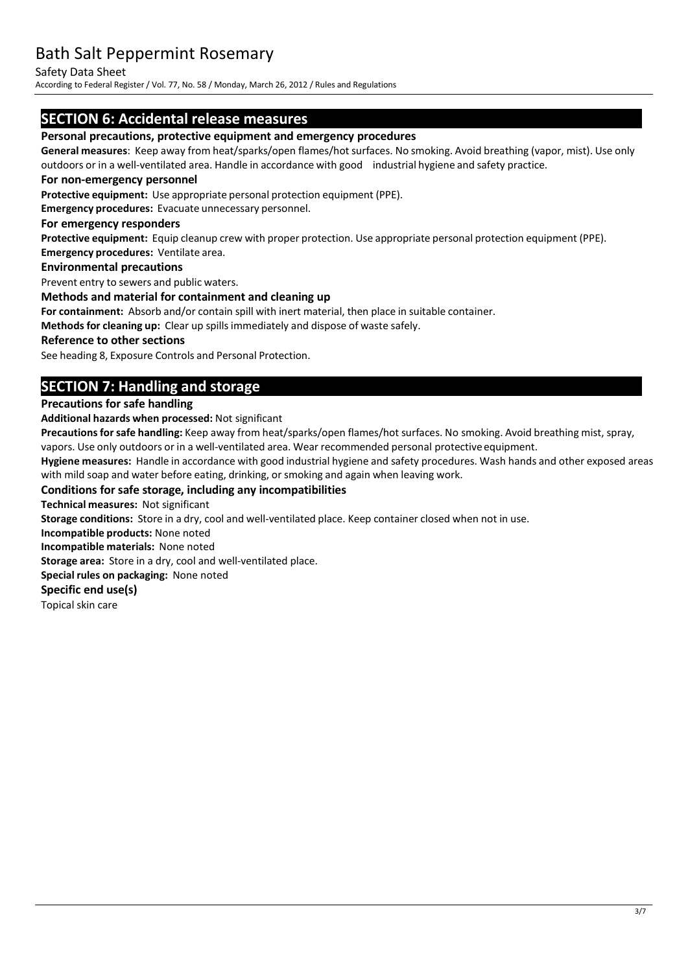Safety Data Sheet

According to Federal Register/ Vol. 77, No. 58 / Monday, March 26, 2012 / Rules and Regulations

### **SECTION 6: Accidental release measures**

#### **Personal precautions, protective equipment and emergency procedures**

**General measures**: Keep away from heat/sparks/open flames/hot surfaces. No smoking. Avoid breathing (vapor, mist). Use only outdoors or in a well-ventilated area. Handle in accordance with good industrial hygiene and safety practice.

#### **For non-emergency personnel**

**Protective equipment:** Use appropriate personal protection equipment (PPE).

**Emergency procedures:** Evacuate unnecessary personnel.

#### **For emergency responders**

**Protective equipment:** Equip cleanup crew with proper protection. Use appropriate personal protection equipment (PPE). **Emergency procedures:** Ventilate area.

#### **Environmental precautions**

Prevent entry to sewers and public waters.

#### **Methods and material for containment and cleaning up**

**For containment:** Absorb and/or contain spill with inert material, then place in suitable container.

**Methods for cleaning up:** Clear up spillsimmediately and dispose of waste safely.

#### **Reference to other sections**

See heading 8, Exposure Controls and Personal Protection.

# **SECTION 7: Handling and storage**

#### **Precautions for safe handling**

**Additional hazards when processed:** Not significant

Precautions for safe handling: Keep away from heat/sparks/open flames/hot surfaces. No smoking. Avoid breathing mist, spray, vapors. Use only outdoors or in a well-ventilated area. Wear recommended personal protective equipment.

**Hygiene measures:** Handle in accordance with good industrial hygiene and safety procedures. Wash hands and other exposed areas with mild soap and water before eating, drinking, or smoking and again when leaving work.

#### **Conditions for safe storage, including any incompatibilities**

**Technical measures:** Not significant

**Storage conditions:** Store in a dry, cool and well-ventilated place. Keep container closed when not in use.

**Incompatible products:** None noted

**Incompatible materials:** None noted

**Storage area:** Store in a dry, cool and well-ventilated place.

**Special rules on packaging:** None noted

#### **Specific end use(s)**

Topical skin care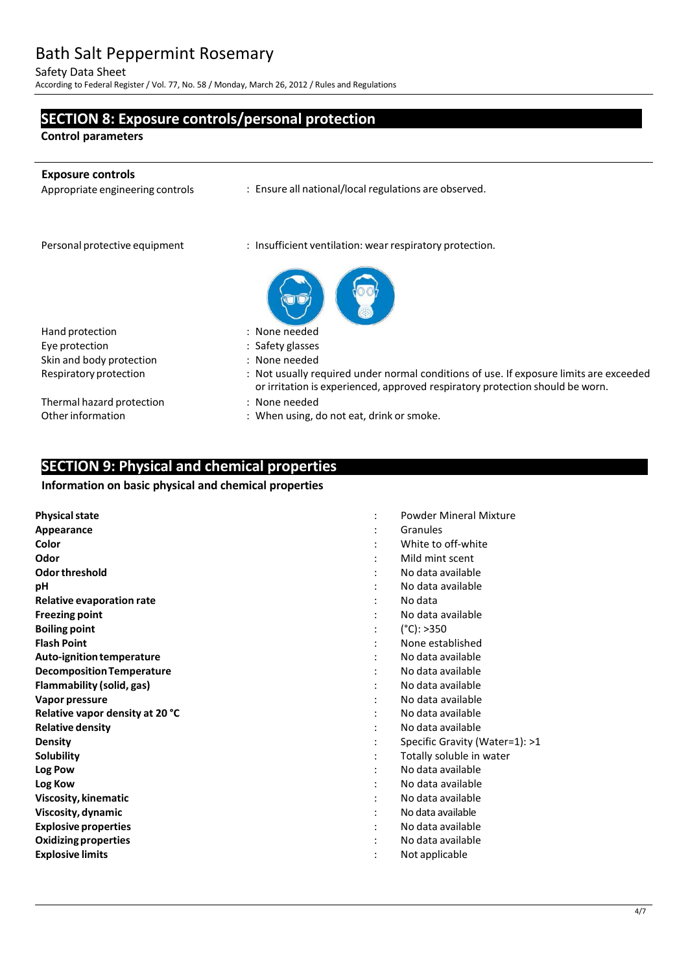Safety Data Sheet

According to Federal Register/ Vol. 77, No. 58 / Monday, March 26, 2012 / Rules and Regulations

### **SECTION 8: Exposure controls/personal protection**

**Control parameters**

j.

| <b>Exposure controls</b><br>Appropriate engineering controls | : Ensure all national/local regulations are observed.                                                                                                                   |
|--------------------------------------------------------------|-------------------------------------------------------------------------------------------------------------------------------------------------------------------------|
| Personal protective equipment                                | : Insufficient ventilation: wear respiratory protection.                                                                                                                |
|                                                              |                                                                                                                                                                         |
| Hand protection                                              | : None needed                                                                                                                                                           |
| Eye protection                                               | : Safety glasses                                                                                                                                                        |
| Skin and body protection                                     | : None needed                                                                                                                                                           |
| Respiratory protection                                       | : Not usually required under normal conditions of use. If exposure limits are exceeded<br>or irritation is experienced, approved respiratory protection should be worn. |
| Thermal hazard protection                                    | : None needed                                                                                                                                                           |
| Other information                                            | : When using, do not eat, drink or smoke.                                                                                                                               |

# **SECTION 9: Physical and chemical properties**

#### **Information on basic physical and chemical properties**

| <b>Physical state</b>            | <b>Powder Mineral Mixture</b>  |
|----------------------------------|--------------------------------|
| Appearance                       | Granules                       |
| Color                            | White to off-white             |
| Odor                             | Mild mint scent                |
| Odor threshold                   | No data available              |
| рH                               | No data available              |
| <b>Relative evaporation rate</b> | No data                        |
| <b>Freezing point</b>            | No data available              |
| <b>Boiling point</b>             | $(^{\circ}C):>350$             |
| <b>Flash Point</b>               | None established               |
| Auto-ignition temperature        | No data available              |
| <b>Decomposition Temperature</b> | No data available              |
| Flammability (solid, gas)        | No data available              |
| Vapor pressure                   | No data available              |
| Relative vapor density at 20 °C  | No data available              |
| <b>Relative density</b>          | No data available              |
| <b>Density</b>                   | Specific Gravity (Water=1): >1 |
| Solubility                       | Totally soluble in water       |
| Log Pow                          | No data available              |
| Log Kow                          | No data available              |
| Viscosity, kinematic             | No data available              |
| Viscosity, dynamic               | No data available              |
| <b>Explosive properties</b>      | No data available              |
| <b>Oxidizing properties</b>      | No data available              |
| <b>Explosive limits</b>          | Not applicable                 |
|                                  |                                |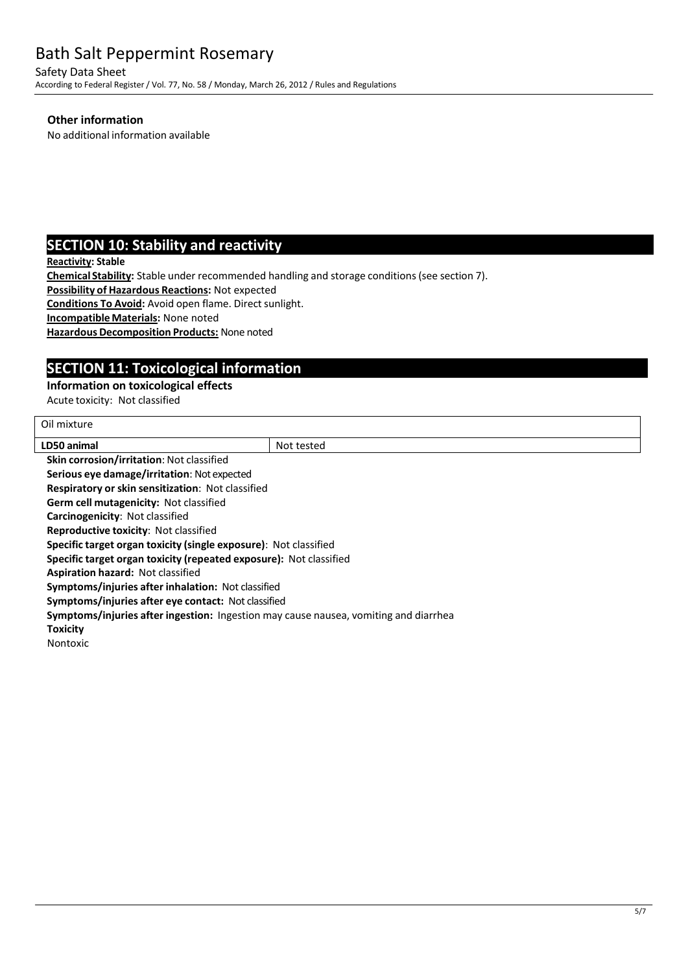Safety Data Sheet According to Federal Register/ Vol. 77, No. 58 / Monday, March 26, 2012 / Rules and Regulations

#### **Other information**

No additional information available

# **SECTION 10: Stability and reactivity**

**Reactivity: Stable**

**Chemical Stability:** Stable under recommended handling and storage conditions(see section 7).

**Possibility of Hazardous Reactions:** Not expected

**Conditions To Avoid:** Avoid open flame. Direct sunlight.

**IncompatibleMaterials:** None noted

**Hazardous Decomposition Products: None noted** 

# **SECTION 11: Toxicological information**

#### **Information on toxicological effects**

Acute toxicity: Not classified

| Oil mixture                                                                          |            |  |  |
|--------------------------------------------------------------------------------------|------------|--|--|
| LD50 animal                                                                          | Not tested |  |  |
| <b>Skin corrosion/irritation: Not classified</b>                                     |            |  |  |
| <b>Serious eye damage/irritation: Not expected</b>                                   |            |  |  |
| Respiratory or skin sensitization: Not classified                                    |            |  |  |
| <b>Germ cell mutagenicity: Not classified</b>                                        |            |  |  |
| <b>Carcinogenicity: Not classified</b>                                               |            |  |  |
| <b>Reproductive toxicity: Not classified</b>                                         |            |  |  |
| Specific target organ toxicity (single exposure): Not classified                     |            |  |  |
| Specific target organ toxicity (repeated exposure): Not classified                   |            |  |  |
| <b>Aspiration hazard: Not classified</b>                                             |            |  |  |
| <b>Symptoms/injuries after inhalation: Not classified</b>                            |            |  |  |
| Symptoms/injuries after eye contact: Not classified                                  |            |  |  |
| Symptoms/injuries after ingestion: Ingestion may cause nausea, vomiting and diarrhea |            |  |  |
| Toxicity                                                                             |            |  |  |
| Nontoxic                                                                             |            |  |  |
|                                                                                      |            |  |  |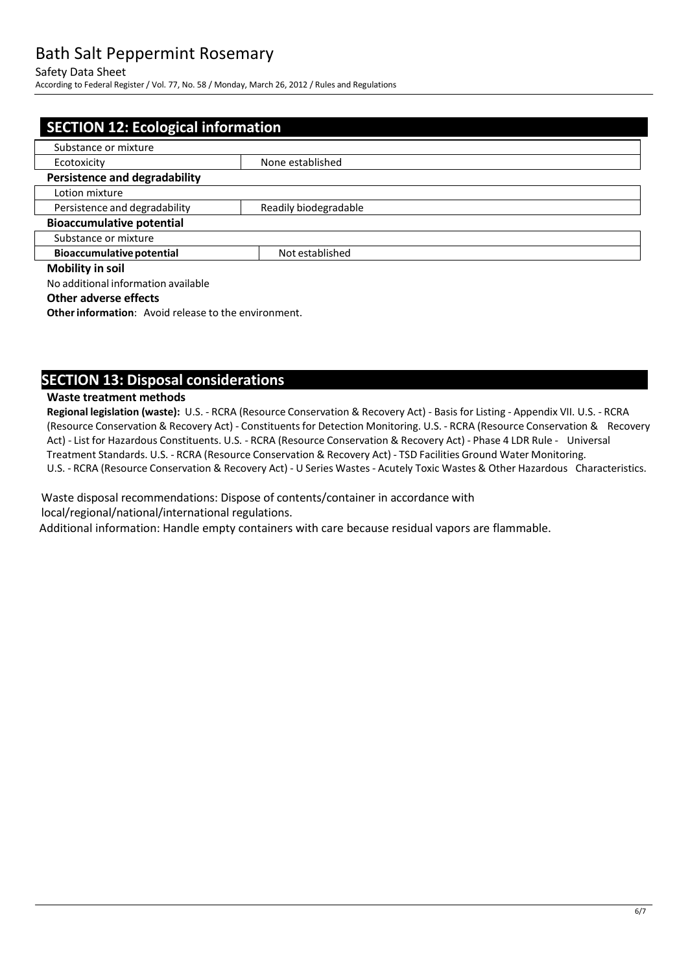#### Safety Data Sheet

According to Federal Register/ Vol. 77, No. 58 / Monday, March 26, 2012 / Rules and Regulations

|                                                        | <b>SECTION 12: Ecological information</b> |  |  |  |
|--------------------------------------------------------|-------------------------------------------|--|--|--|
| Substance or mixture                                   |                                           |  |  |  |
| Ecotoxicity                                            | None established                          |  |  |  |
| <b>Persistence and degradability</b>                   |                                           |  |  |  |
| Lotion mixture                                         |                                           |  |  |  |
| Persistence and degradability<br>Readily biodegradable |                                           |  |  |  |
| <b>Bioaccumulative potential</b>                       |                                           |  |  |  |
| Substance or mixture                                   |                                           |  |  |  |
| <b>Bioaccumulative potential</b>                       | Not established                           |  |  |  |
| <b>Mobility in soil</b>                                |                                           |  |  |  |
| No additional information available                    |                                           |  |  |  |

#### **Other adverse effects**

**Other information:** Avoid release to the environment.

### **SECTION 13: Disposal considerations**

#### **Waste treatment methods**

**Regional legislation (waste):** U.S. - RCRA (Resource Conservation & Recovery Act) - Basis for Listing - Appendix VII. U.S. - RCRA (Resource Conservation & Recovery Act) - Constituentsfor Detection Monitoring. U.S. - RCRA (Resource Conservation & Recovery Act) - List for Hazardous Constituents. U.S. - RCRA (Resource Conservation & Recovery Act) - Phase 4 LDR Rule - Universal Treatment Standards. U.S. - RCRA (Resource Conservation & Recovery Act) - TSD Facilities Ground Water Monitoring. U.S. - RCRA (Resource Conservation & Recovery Act) - U Series Wastes - Acutely Toxic Wastes & Other Hazardous Characteristics.

Waste disposal recommendations: Dispose of contents/container in accordance with local/regional/national/international regulations.

Additional information: Handle empty containers with care because residual vapors are flammable.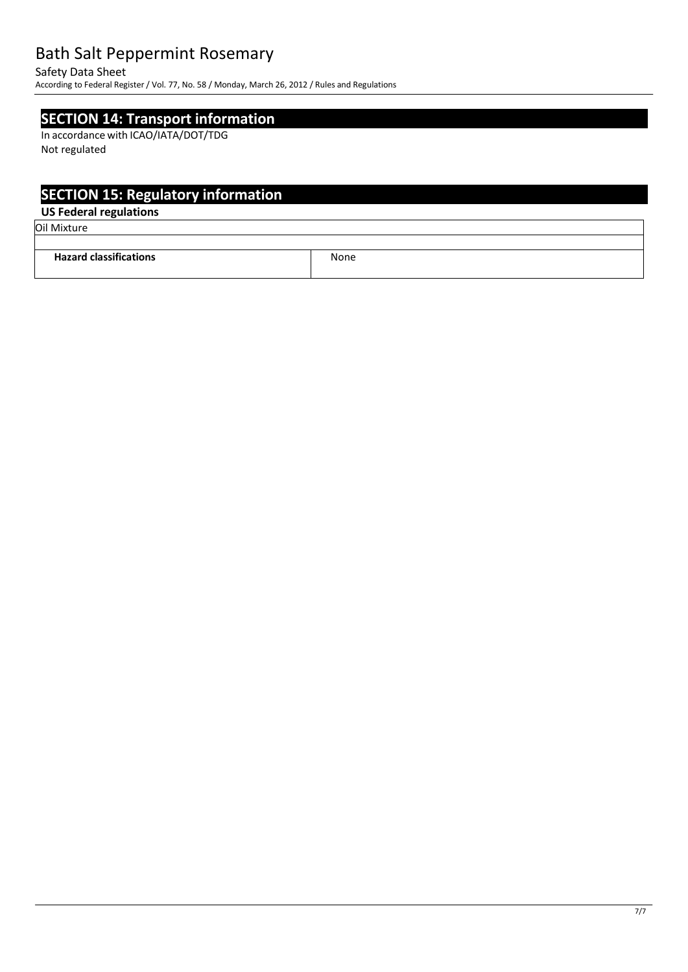Safety Data Sheet

According to Federal Register/ Vol. 77, No. 58 / Monday, March 26, 2012 / Rules and Regulations

### **SECTION 14: Transport information**

In accordance with ICAO/IATA/DOT/TDG Not regulated

# **SECTION 15: Regulatory information**

### **US Federal regulations**

Oil Mixture

| <b>Hazard classifications</b> | None |
|-------------------------------|------|
|                               |      |